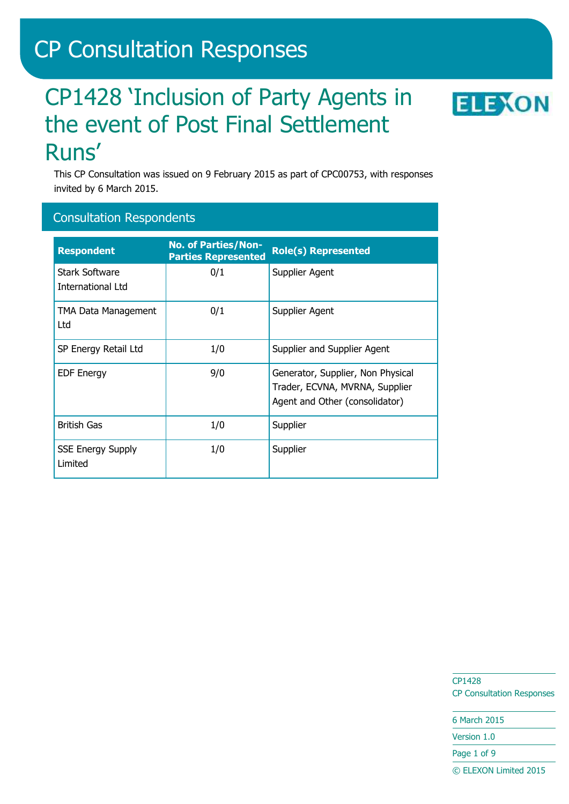# CP Consultation Responses

# CP1428 'Inclusion of Party Agents in the event of Post Final Settlement Runs'



This CP Consultation was issued on 9 February 2015 as part of CPC00753, with responses invited by 6 March 2015.

## Consultation Respondents

| <b>Respondent</b>                          | <b>No. of Parties/Non-</b><br><b>Parties Represented</b> | <b>Role(s) Represented</b>                                                                            |
|--------------------------------------------|----------------------------------------------------------|-------------------------------------------------------------------------------------------------------|
| <b>Stark Software</b><br>International Ltd | 0/1                                                      | Supplier Agent                                                                                        |
| <b>TMA Data Management</b><br>Ltd          | 0/1                                                      | Supplier Agent                                                                                        |
| SP Energy Retail Ltd                       | 1/0                                                      | Supplier and Supplier Agent                                                                           |
| <b>EDF Energy</b>                          | 9/0                                                      | Generator, Supplier, Non Physical<br>Trader, ECVNA, MVRNA, Supplier<br>Agent and Other (consolidator) |
| <b>British Gas</b>                         | 1/0                                                      | Supplier                                                                                              |
| <b>SSE Energy Supply</b><br>Limited        | 1/0                                                      | Supplier                                                                                              |

CP1428 CP Consultation Responses

6 March 2015 Version 1.0

Page 1 of 9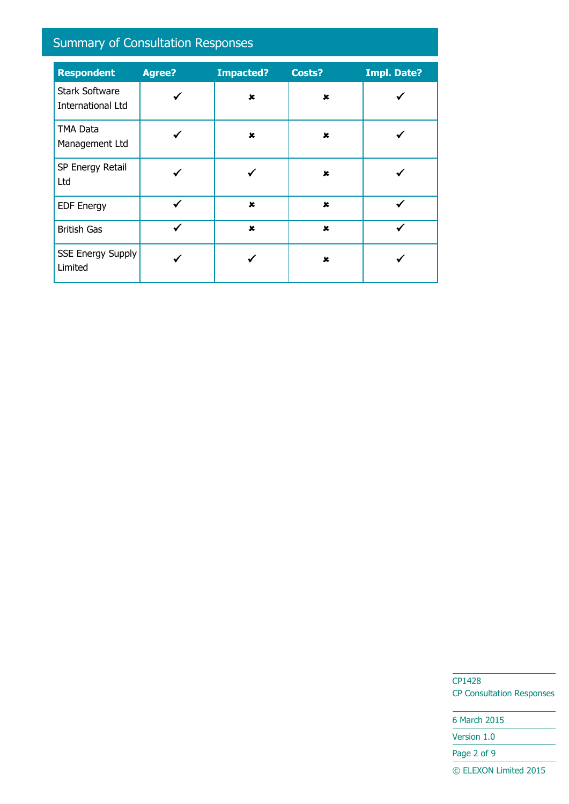# Summary of Consultation Responses

| <b>Respondent</b>                                 | <b>Agree?</b> | <b>Impacted?</b>          | Costs?      | <b>Impl. Date?</b> |
|---------------------------------------------------|---------------|---------------------------|-------------|--------------------|
| <b>Stark Software</b><br><b>International Ltd</b> |               | $\mathbf x$               | ×           |                    |
| <b>TMA Data</b><br>Management Ltd                 |               | $\boldsymbol{\mathsf{x}}$ | ×           |                    |
| SP Energy Retail<br>Ltd                           |               |                           | $\mathbf x$ |                    |
| <b>EDF Energy</b>                                 | ✓             | $\mathbf x$               | $\mathbf x$ |                    |
| <b>British Gas</b>                                | ✓             | $\pmb{x}$                 | $\mathbf x$ |                    |
| <b>SSE Energy Supply</b><br>Limited               |               |                           | $\mathbf x$ |                    |

CP1428 CP Consultation Responses

6 March 2015 Version 1.0 Page 2 of 9 © ELEXON Limited 2015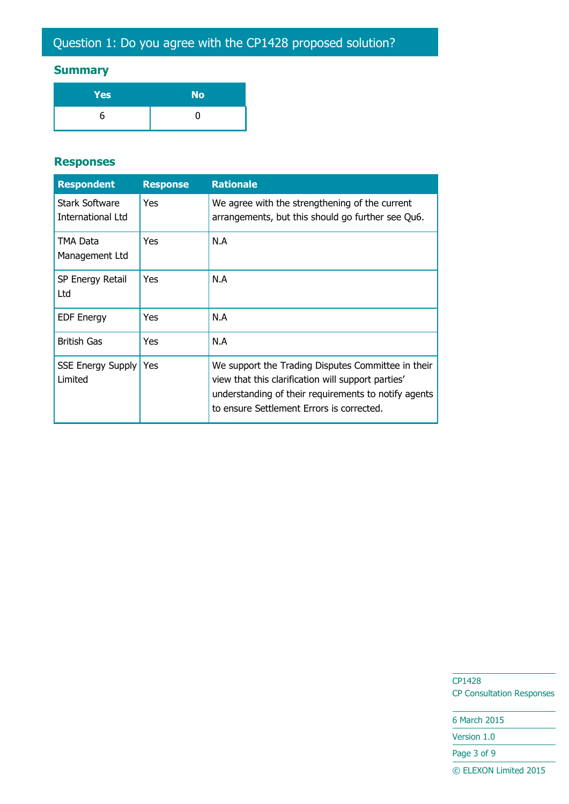# **Summary**

| Yes | <b>No</b> |
|-----|-----------|
|     |           |

#### **Responses**

| <b>Respondent</b>                          | <b>Response</b> | <b>Rationale</b>                                                                                                                                                                                              |
|--------------------------------------------|-----------------|---------------------------------------------------------------------------------------------------------------------------------------------------------------------------------------------------------------|
| <b>Stark Software</b><br>International Ltd | <b>Yes</b>      | We agree with the strengthening of the current<br>arrangements, but this should go further see Qu6.                                                                                                           |
| TMA Data<br>Management Ltd                 | <b>Yes</b>      | N.A                                                                                                                                                                                                           |
| SP Energy Retail<br>Ltd                    | <b>Yes</b>      | N.A                                                                                                                                                                                                           |
| <b>EDF Energy</b>                          | <b>Yes</b>      | N.A                                                                                                                                                                                                           |
| <b>British Gas</b>                         | <b>Yes</b>      | N.A                                                                                                                                                                                                           |
| <b>SSE Energy Supply</b><br>Limited        | <b>Yes</b>      | We support the Trading Disputes Committee in their<br>view that this clarification will support parties'<br>understanding of their requirements to notify agents<br>to ensure Settlement Errors is corrected. |

CP1428 CP Consultation Responses

6 March 2015 Version 1.0 Page 3 of 9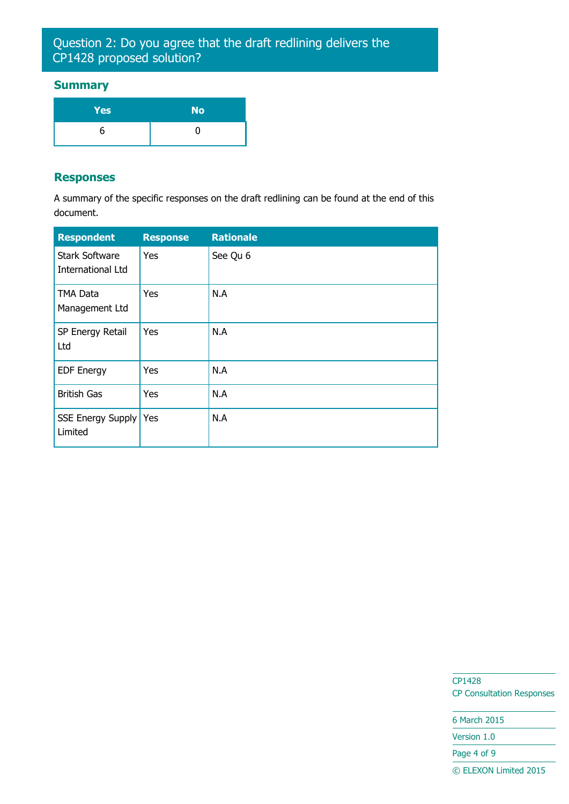## Question 2: Do you agree that the draft redlining delivers the CP1428 proposed solution?

#### **Summary**

| <b>Yes</b> | <b>No</b> |
|------------|-----------|
| ר          |           |

#### **Responses**

A summary of the specific responses on the draft redlining can be found at the end of this document.

| <b>Respondent</b>                          | <b>Response</b> | <b>Rationale</b> |
|--------------------------------------------|-----------------|------------------|
| <b>Stark Software</b><br>International Ltd | Yes             | See Qu 6         |
| TMA Data<br>Management Ltd                 | Yes             | N.A              |
| SP Energy Retail<br>Ltd                    | Yes             | N.A              |
| <b>EDF Energy</b>                          | Yes             | N.A              |
| <b>British Gas</b>                         | Yes             | N.A              |
| <b>SSE Energy Supply</b><br>Limited        | Yes             | N.A              |

CP1428 CP Consultation Responses

6 March 2015 Version 1.0

Page 4 of 9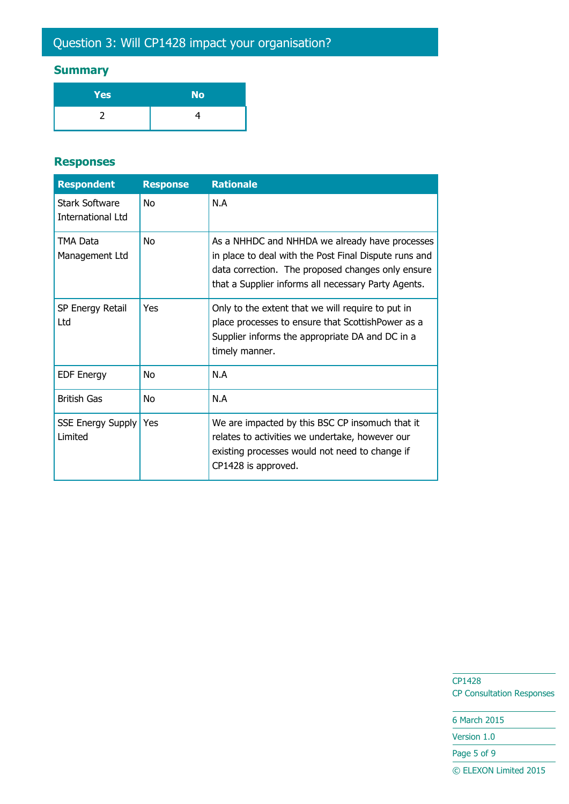# Question 3: Will CP1428 impact your organisation?

# **Summary**

| Yes | <b>No</b> |
|-----|-----------|
|     |           |

#### **Responses**

| <b>Respondent</b>                   | <b>Response</b> | <b>Rationale</b>                                                                                                                                                                                                    |
|-------------------------------------|-----------------|---------------------------------------------------------------------------------------------------------------------------------------------------------------------------------------------------------------------|
| Stark Software<br>International Ltd | No              | N.A                                                                                                                                                                                                                 |
| TMA Data<br>Management Ltd          | N <sub>O</sub>  | As a NHHDC and NHHDA we already have processes<br>in place to deal with the Post Final Dispute runs and<br>data correction. The proposed changes only ensure<br>that a Supplier informs all necessary Party Agents. |
| SP Energy Retail<br>Ltd.            | Yes             | Only to the extent that we will require to put in<br>place processes to ensure that ScottishPower as a<br>Supplier informs the appropriate DA and DC in a<br>timely manner.                                         |
| <b>EDF Energy</b>                   | No              | N.A                                                                                                                                                                                                                 |
| <b>British Gas</b>                  | No              | N.A                                                                                                                                                                                                                 |
| <b>SSE Energy Supply</b><br>Limited | Yes             | We are impacted by this BSC CP insomuch that it<br>relates to activities we undertake, however our<br>existing processes would not need to change if<br>CP1428 is approved.                                         |

CP1428 CP Consultation Responses

6 March 2015 Version 1.0 Page 5 of 9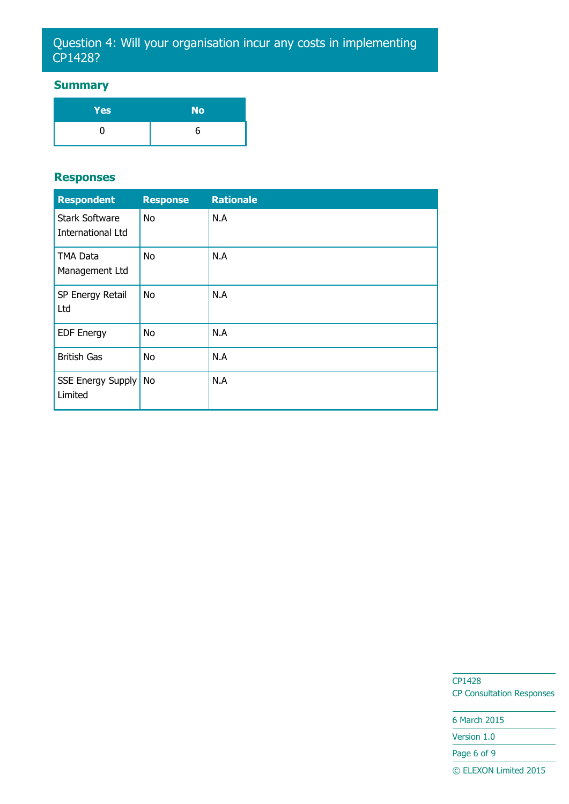## Question 4: Will your organisation incur any costs in implementing CP1428?

### **Summary**

| <b>Yes</b> | <b>No</b> |
|------------|-----------|
|            | h         |

#### **Responses**

| <b>Respondent</b>                                 | <b>Response</b> | <b>Rationale</b> |
|---------------------------------------------------|-----------------|------------------|
| <b>Stark Software</b><br><b>International Ltd</b> | <b>No</b>       | N.A              |
| <b>TMA Data</b><br>Management Ltd                 | <b>No</b>       | N.A              |
| SP Energy Retail<br>Ltd                           | No              | N.A              |
| <b>EDF Energy</b>                                 | <b>No</b>       | N.A              |
| <b>British Gas</b>                                | <b>No</b>       | N.A              |
| SSE Energy Supply<br>Limited                      | <b>No</b>       | N.A              |

CP1428 CP Consultation Responses

6 March 2015 Version 1.0 Page 6 of 9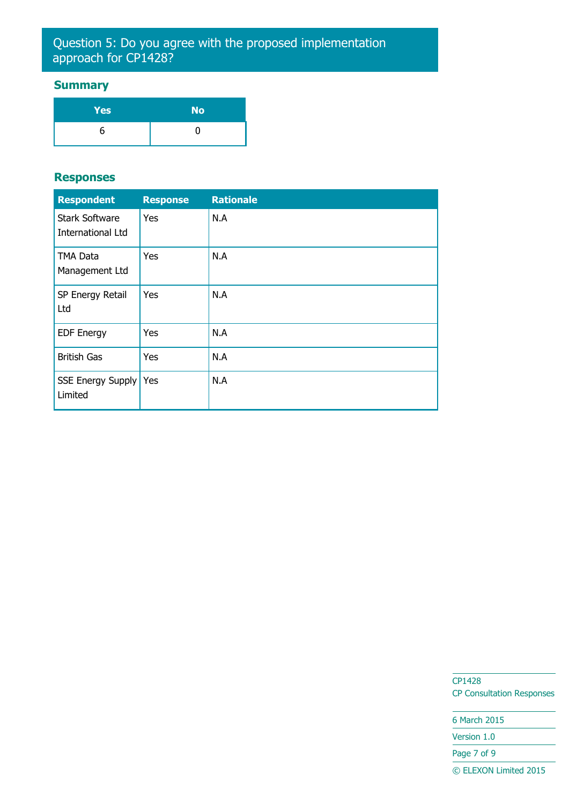## Question 5: Do you agree with the proposed implementation approach for CP1428?

### **Summary**

| <b>Yes</b> | <b>No</b> |
|------------|-----------|
|            |           |

#### **Responses**

| <b>Respondent</b>                          | <b>Response</b> | <b>Rationale</b> |
|--------------------------------------------|-----------------|------------------|
| <b>Stark Software</b><br>International Ltd | Yes             | N.A              |
| <b>TMA Data</b><br>Management Ltd          | Yes             | N.A              |
| SP Energy Retail<br>Ltd                    | Yes             | N.A              |
| <b>EDF Energy</b>                          | Yes             | N.A              |
| <b>British Gas</b>                         | Yes             | N.A              |
| SSE Energy Supply<br>Limited               | Yes             | N.A              |

CP1428 CP Consultation Responses

6 March 2015 Version 1.0 Page 7 of 9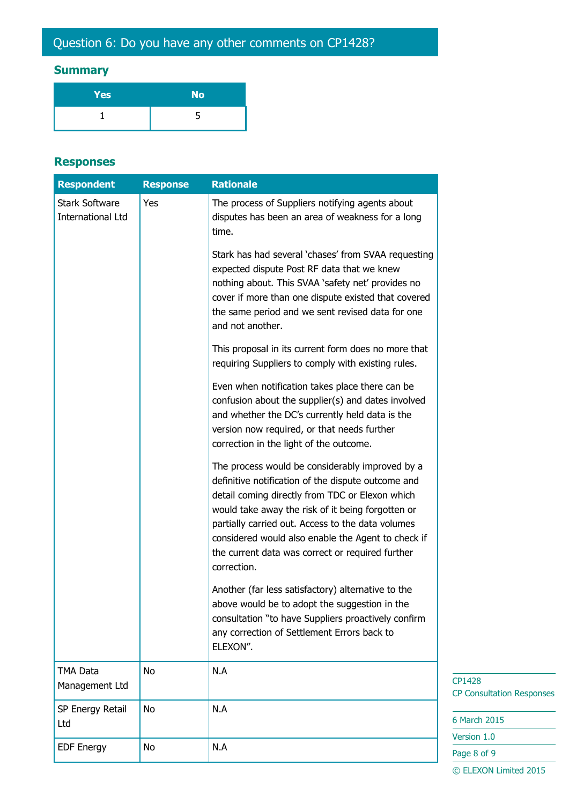# Question 6: Do you have any other comments on CP1428?

# **Summary**

| Yes | <b>No</b> |
|-----|-----------|
|     |           |

#### **Responses**

| <b>Respondent</b>                          | <b>Response</b> | <b>Rationale</b>                                                                                                                                                                                                                                                                                                                                                                            |
|--------------------------------------------|-----------------|---------------------------------------------------------------------------------------------------------------------------------------------------------------------------------------------------------------------------------------------------------------------------------------------------------------------------------------------------------------------------------------------|
| <b>Stark Software</b><br>International Ltd | Yes             | The process of Suppliers notifying agents about<br>disputes has been an area of weakness for a long<br>time.                                                                                                                                                                                                                                                                                |
|                                            |                 | Stark has had several 'chases' from SVAA requesting<br>expected dispute Post RF data that we knew<br>nothing about. This SVAA 'safety net' provides no<br>cover if more than one dispute existed that covered<br>the same period and we sent revised data for one<br>and not another.                                                                                                       |
|                                            |                 | This proposal in its current form does no more that<br>requiring Suppliers to comply with existing rules.                                                                                                                                                                                                                                                                                   |
|                                            |                 | Even when notification takes place there can be<br>confusion about the supplier(s) and dates involved<br>and whether the DC's currently held data is the<br>version now required, or that needs further<br>correction in the light of the outcome.                                                                                                                                          |
|                                            |                 | The process would be considerably improved by a<br>definitive notification of the dispute outcome and<br>detail coming directly from TDC or Elexon which<br>would take away the risk of it being forgotten or<br>partially carried out. Access to the data volumes<br>considered would also enable the Agent to check if<br>the current data was correct or required further<br>correction. |
|                                            |                 | Another (far less satisfactory) alternative to the<br>above would be to adopt the suggestion in the<br>consultation "to have Suppliers proactively confirm<br>any correction of Settlement Errors back to<br>ELEXON".                                                                                                                                                                       |
| <b>TMA Data</b><br>Management Ltd          | <b>No</b>       | N.A                                                                                                                                                                                                                                                                                                                                                                                         |
| SP Energy Retail<br>Ltd                    | No              | N.A                                                                                                                                                                                                                                                                                                                                                                                         |
| <b>EDF Energy</b>                          | No              | N.A                                                                                                                                                                                                                                                                                                                                                                                         |

**ation Responses** 

 $15$